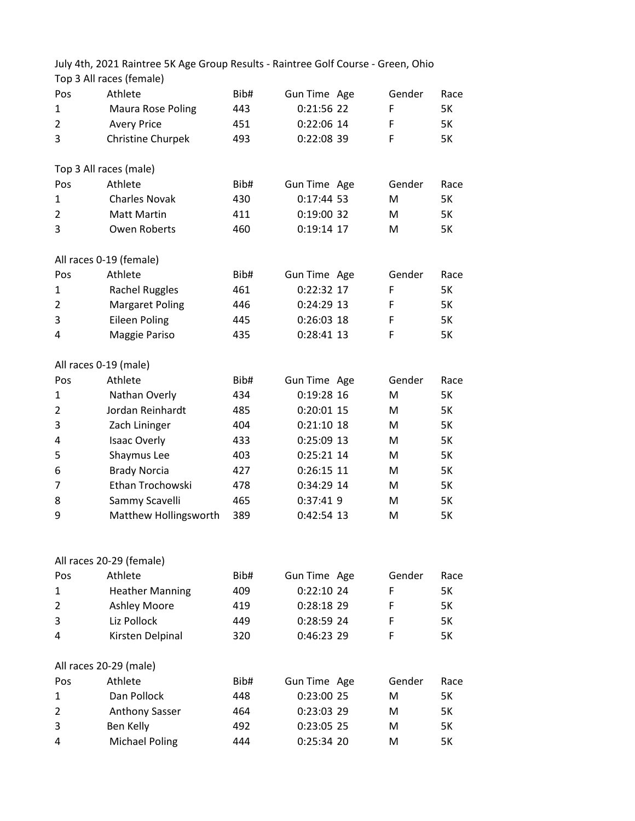July 4th, 2021 Raintree 5K Age Group Results - Raintree Golf Course - Green, Ohio Top 3 All races (female)

| Pos            | Athlete                  | Bib# | Gun Time Age | Gender | Race |
|----------------|--------------------------|------|--------------|--------|------|
| 1              | Maura Rose Poling        | 443  | 0:21:56 22   | F      | 5K   |
| 2              | <b>Avery Price</b>       | 451  | 0:22:06 14   | F      | 5K   |
| 3              | Christine Churpek        | 493  | 0:22:08 39   | F      | 5K   |
|                | Top 3 All races (male)   |      |              |        |      |
| Pos            | Athlete                  | Bib# | Gun Time Age | Gender | Race |
| $\mathbf{1}$   | <b>Charles Novak</b>     | 430  | $0:17:44$ 53 | M      | 5K   |
| 2              | <b>Matt Martin</b>       | 411  | 0:19:00 32   | M      | 5K   |
| 3              | Owen Roberts             | 460  | 0:19:14 17   | M      | 5K   |
|                | All races 0-19 (female)  |      |              |        |      |
| Pos            | Athlete                  | Bib# | Gun Time Age | Gender | Race |
| 1              | <b>Rachel Ruggles</b>    | 461  | 0:22:32 17   | F      | 5K   |
| 2              | <b>Margaret Poling</b>   | 446  | 0:24:29 13   | F      | 5K   |
| 3              | <b>Eileen Poling</b>     | 445  | $0:26:03$ 18 | F      | 5K   |
| 4              | Maggie Pariso            | 435  | 0:28:41 13   | F      | 5K   |
|                | All races 0-19 (male)    |      |              |        |      |
| Pos            | Athlete                  | Bib# | Gun Time Age | Gender | Race |
| 1              | Nathan Overly            | 434  | 0:19:28 16   | M      | 5K   |
| $\overline{2}$ | Jordan Reinhardt         | 485  | 0:20:01 15   | M      | 5K   |
| 3              | Zach Lininger            | 404  | $0:21:10$ 18 | M      | 5K   |
| 4              | <b>Isaac Overly</b>      | 433  | 0:25:09 13   | M      | 5K   |
| 5              | Shaymus Lee              | 403  | 0:25:21 14   | М      | 5K   |
| 6              | <b>Brady Norcia</b>      | 427  | 0:26:15 11   | M      | 5K   |
| 7              | Ethan Trochowski         | 478  | 0:34:29 14   | M      | 5K   |
| 8              | Sammy Scavelli           | 465  | 0:37:41 9    | M      | 5K   |
| 9              | Matthew Hollingsworth    | 389  | 0:42:54 13   | M      | 5K   |
|                |                          |      |              |        |      |
|                | All races 20-29 (female) |      |              |        |      |
| Pos            | Athlete                  | Bib# | Gun Time Age | Gender | Race |
| 1              | <b>Heather Manning</b>   | 409  | 0:22:10 24   | F      | 5K   |
| $\overline{2}$ | Ashley Moore             | 419  | 0:28:18 29   | F      | 5K   |
| 3              | Liz Pollock              | 449  | 0:28:59 24   | F      | 5K   |
| 4              | Kirsten Delpinal         | 320  | 0:46:23 29   | F      | 5K   |
|                | All races 20-29 (male)   |      |              |        |      |
| Pos            | Athlete                  | Bib# | Gun Time Age | Gender | Race |
| 1              | Dan Pollock              | 448  | 0:23:00 25   | M      | 5K   |
| 2              | <b>Anthony Sasser</b>    | 464  | 0:23:03 29   | M      | 5K   |
| 3              | Ben Kelly                | 492  | 0:23:05 25   | M      | 5K   |
| 4              | <b>Michael Poling</b>    | 444  | 0:25:34 20   | M      | 5K   |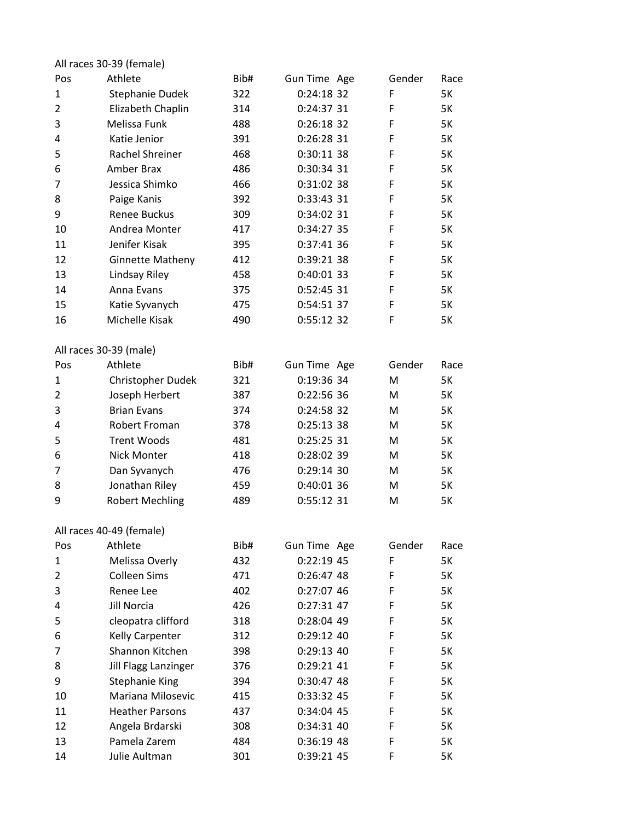|     | All races 30-39 (female) |      |              |        |           |
|-----|--------------------------|------|--------------|--------|-----------|
| Pos | Athlete                  | Bib# | Gun Time Age | Gender | Race      |
| 1   | Stephanie Dudek          | 322  | $0:24:18$ 32 | F      | 5K        |
| 2   | Elizabeth Chaplin        | 314  | 0:24:37.31   | F      | <b>5K</b> |
| 3   | Melissa Funk             | 488  | $0:26:18$ 32 | F      | <b>5K</b> |
| 4   | Katie Jenior             | 391  | 0:26:28 31   | F      | <b>5K</b> |
| 5   | Rachel Shreiner          | 468  | 0:30:11 38   | F      | <b>5K</b> |
| 6   | Amber Brax               | 486  | 0:30:34 31   | F      | 5K        |
| 7   | Jessica Shimko           | 466  | 0:31:02 38   | F      | 5K        |
| 8   | Paige Kanis              | 392  | 0:33:43 31   | F      | <b>5K</b> |
| 9   | <b>Renee Buckus</b>      | 309  | 0:34:02 31   | F      | <b>5K</b> |
| 10  | Andrea Monter            | 417  | 0:34:27 35   | F      | 5K        |
| 11  | Jenifer Kisak            | 395  | 0:37:41 36   | F      | 5K        |
| 12  | <b>Ginnette Matheny</b>  | 412  | 0:39:21 38   | F      | 5K        |
| 13  | Lindsay Riley            | 458  | 0:40:01 33   | F      | 5K        |
| 14  | Anna Evans               | 375  | 0:52:45 31   | F      | <b>5K</b> |
| 15  | Katie Syvanych           | 475  | 0:54:51 37   | F      | <b>5K</b> |
| 16  | Michelle Kisak           | 490  | 0:55:12 32   | F      | 5K        |
|     | All races 30-39 (male)   |      |              |        |           |
| Pos | Athlete                  | Bib# | Gun Time Age | Gender | Race      |
| 1   | Christopher Dudek        | 321  | 0:19:36 34   | M      | 5K        |
| 2   | Joseph Herbert           | 387  | 0:22:56 36   | M      | 5K        |
| 3   | <b>Brian Evans</b>       | 374  | 0:24:58 32   | M      | <b>5K</b> |
| 4   | <b>Robert Froman</b>     | 378  | 0:25:13.38   | M      | 5K        |
| 5   | <b>Trent Woods</b>       | 481  | 0:25:25 31   | M      | 5K        |
| 6   | <b>Nick Monter</b>       | 418  | 0:28:02 39   | М      | 5K        |
| 7   | Dan Syvanych             | 476  | $0:29:14$ 30 | M      | 5K        |
| 8   | Jonathan Riley           | 459  | 0:40:01 36   | M      | <b>5K</b> |
| 9   | <b>Robert Mechling</b>   | 489  | 0:55:12 31   | м      | 5K        |
|     | All races 40-49 (female) |      |              |        |           |
| Pos | Athlete                  | Bib# | Gun Time Age | Gender | Race      |
| 1   | Melissa Overly           | 432  | $0:22:19$ 45 | F      | 5K        |
| 2   | <b>Colleen Sims</b>      | 471  | 0:26:47,48   | F      | 5K        |
| 3   | Renee Lee                | 402  | 0:27:07 46   | F      | 5K        |
| 4   | Jill Norcia              | 426  | 0:27:31 47   | F      | 5K        |
| 5   | cleopatra clifford       | 318  | 0:28:04 49   | F      | 5K        |
| 6   | Kelly Carpenter          | 312  | $0:29:12$ 40 | F      | 5K        |
| 7   | Shannon Kitchen          | 398  | 0:29:13 40   | F      | 5K        |
| 8   | Jill Flagg Lanzinger     | 376  | 0:29:21 41   | F      | 5K        |
| 9   | <b>Stephanie King</b>    | 394  | 0:30:47 48   | F      | 5K        |
| 10  | Mariana Milosevic        | 415  | 0:33:32 45   | F      | 5K        |
| 11  | <b>Heather Parsons</b>   | 437  | 0:34:04 45   | F      | 5K        |
| 12  | Angela Brdarski          | 308  | 0:34:31 40   | F      | 5K        |
| 13  | Pamela Zarem             | 484  | 0:36:19 48   | F      | 5K        |
| 14  | Julie Aultman            | 301  | 0:39:21 45   | F      | 5K        |
|     |                          |      |              |        |           |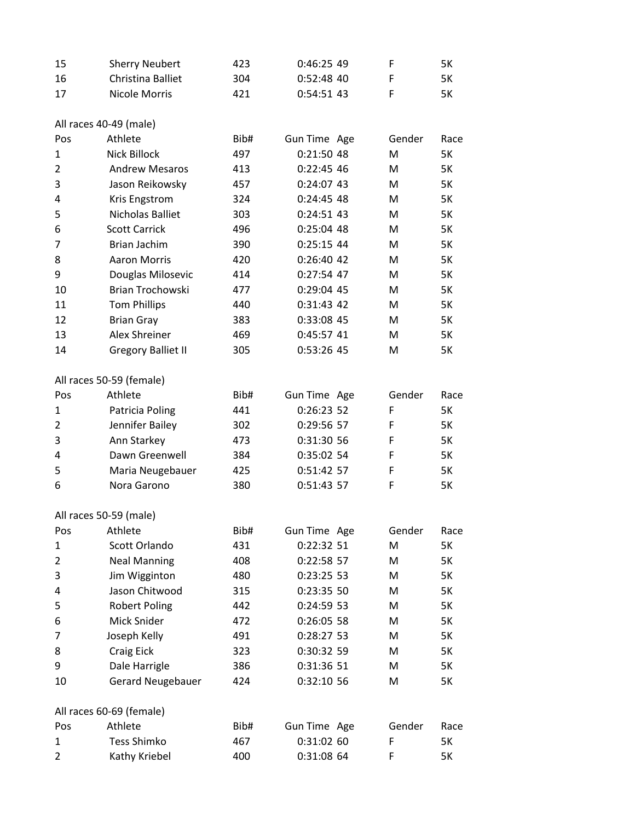| -15 | <b>Sherry Neubert</b> | 423 | 0:46:25.49   | 5К |
|-----|-----------------------|-----|--------------|----|
| -16 | Christina Balliet     | 304 | $0:52:48$ 40 | 5К |
| 17  | Nicole Morris         | 421 | $0:54:51$ 43 | 5К |

All races 40-49 (male)

| Pos            | Athlete                   | Bib# | Gun Time Age | Gender | Race      |
|----------------|---------------------------|------|--------------|--------|-----------|
| $\mathbf{1}$   | Nick Billock              | 497  | 0:21:50 48   | M      | 5K        |
| $\overline{2}$ | <b>Andrew Mesaros</b>     | 413  | 0:22:45 46   | M      | 5K        |
| 3              | Jason Reikowsky           | 457  | 0:24:07 43   | M      | 5K        |
| 4              | Kris Engstrom             | 324  | $0:24:45$ 48 | M      | 5K        |
| 5              | Nicholas Balliet          | 303  | 0:24:51 43   | M      | 5K        |
| 6              | <b>Scott Carrick</b>      | 496  | 0:25:04 48   | M      | 5K        |
| 7              | Brian Jachim              | 390  | 0:25:15 44   | M      | 5K        |
| 8              | <b>Aaron Morris</b>       | 420  | 0:26:40 42   | M      | 5K        |
| 9              | Douglas Milosevic         | 414  | 0:27:54 47   | M      | 5K        |
| 10             | Brian Trochowski          | 477  | 0:29:04 45   | M      | 5K        |
| 11             | <b>Tom Phillips</b>       | 440  | 0:31:43 42   | M      | 5K        |
| 12             | <b>Brian Gray</b>         | 383  | 0:33:08 45   | M      | 5K        |
| 13             | Alex Shreiner             | 469  | 0:45:57 41   | M      | 5K        |
| 14             | <b>Gregory Balliet II</b> | 305  | 0:53:26 45   | M      | 5K        |
|                | All races 50-59 (female)  |      |              |        |           |
| Pos            | Athlete                   | Bib# | Gun Time Age | Gender | Race      |
| $\mathbf{1}$   | Patricia Poling           | 441  | 0:26:23 52   | F      | 5K        |
| $\overline{2}$ | Jennifer Bailey           | 302  | 0:29:56 57   | F      | 5K        |
| 3              | Ann Starkey               | 473  | 0:31:30 56   | F      | <b>5K</b> |
| 4              | Dawn Greenwell            | 384  | 0:35:02 54   | F      | 5K        |
| 5              | Maria Neugebauer          | 425  | 0:51:42 57   | F      | 5K        |
| 6              | Nora Garono               | 380  | 0:51:43 57   | F      | 5K        |
|                | All races 50-59 (male)    |      |              |        |           |
| Pos            | Athlete                   | Bib# | Gun Time Age | Gender | Race      |
| $\mathbf{1}$   | Scott Orlando             | 431  | 0:22:32 51   | M      | 5K        |
| $\overline{2}$ | <b>Neal Manning</b>       | 408  | 0:22:58 57   | М      | 5K        |
| 3              | Jim Wigginton             | 480  | 0:23:25 53   | M      | 5K        |
| 4              | Jason Chitwood            | 315  | 0:23:35 50   | M      | <b>5K</b> |
| 5              | <b>Robert Poling</b>      | 442  | 0:24:59 53   | M      | 5K        |
| 6              | Mick Snider               | 472  | 0:26:05 58   | M      | 5K        |
| 7              | Joseph Kelly              | 491  | 0:28:27 53   | M      | 5K        |
| 8              | Craig Eick                | 323  | 0:30:32 59   | M      | 5K        |
| 9              | Dale Harrigle             | 386  | 0:31:36 51   | M      | 5K        |
| 10             | <b>Gerard Neugebauer</b>  | 424  | 0:32:10 56   | M      | 5K        |
|                | All races 60-69 (female)  |      |              |        |           |
| Pos            | Athlete                   | Bib# | Gun Time Age | Gender | Race      |
| 1              | <b>Tess Shimko</b>        | 467  | 0:31:02 60   | F      | 5K        |
| 2              | Kathy Kriebel             | 400  | 0:31:08 64   | F      | 5K        |